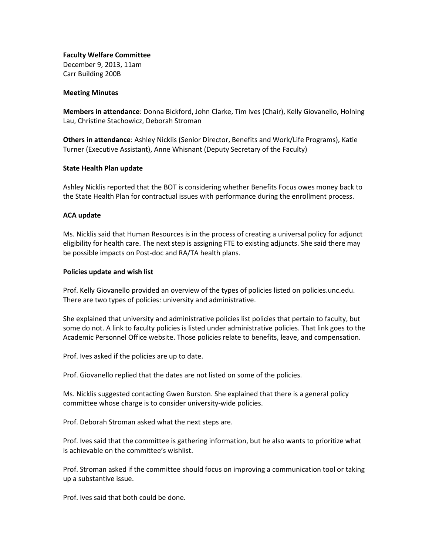**Faculty Welfare Committee** December 9, 2013, 11am Carr Building 200B

#### **Meeting Minutes**

**Members in attendance**: Donna Bickford, John Clarke, Tim Ives (Chair), Kelly Giovanello, Holning Lau, Christine Stachowicz, Deborah Stroman

**Others in attendance**: Ashley Nicklis (Senior Director, Benefits and Work/Life Programs), Katie Turner (Executive Assistant), Anne Whisnant (Deputy Secretary of the Faculty)

### **State Health Plan update**

Ashley Nicklis reported that the BOT is considering whether Benefits Focus owes money back to the State Health Plan for contractual issues with performance during the enrollment process.

### **ACA update**

Ms. Nicklis said that Human Resources is in the process of creating a universal policy for adjunct eligibility for health care. The next step is assigning FTE to existing adjuncts. She said there may be possible impacts on Post-doc and RA/TA health plans.

### **Policies update and wish list**

Prof. Kelly Giovanello provided an overview of the types of policies listed on policies.unc.edu. There are two types of policies: university and administrative.

She explained that university and administrative policies list policies that pertain to faculty, but some do not. A link to faculty policies is listed under administrative policies. That link goes to the Academic Personnel Office website. Those policies relate to benefits, leave, and compensation.

Prof. Ives asked if the policies are up to date.

Prof. Giovanello replied that the dates are not listed on some of the policies.

Ms. Nicklis suggested contacting Gwen Burston. She explained that there is a general policy committee whose charge is to consider university-wide policies.

Prof. Deborah Stroman asked what the next steps are.

Prof. Ives said that the committee is gathering information, but he also wants to prioritize what is achievable on the committee's wishlist.

Prof. Stroman asked if the committee should focus on improving a communication tool or taking up a substantive issue.

Prof. Ives said that both could be done.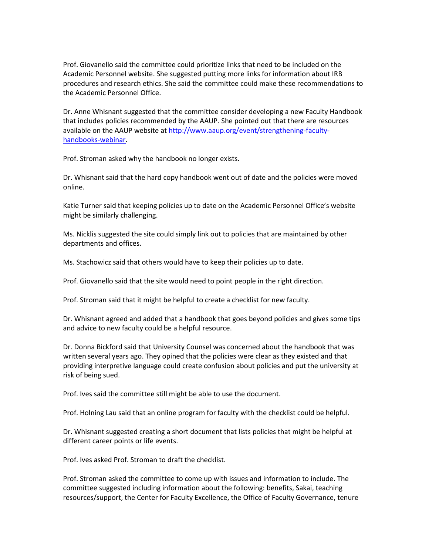Prof. Giovanello said the committee could prioritize links that need to be included on the Academic Personnel website. She suggested putting more links for information about IRB procedures and research ethics. She said the committee could make these recommendations to the Academic Personnel Office.

Dr. Anne Whisnant suggested that the committee consider developing a new Faculty Handbook that includes policies recommended by the AAUP. She pointed out that there are resources available on the AAUP website at [http://www.aaup.org/event/strengthening-faculty](http://www.aaup.org/event/strengthening-faculty-handbooks-webinar)[handbooks-webinar.](http://www.aaup.org/event/strengthening-faculty-handbooks-webinar)

Prof. Stroman asked why the handbook no longer exists.

Dr. Whisnant said that the hard copy handbook went out of date and the policies were moved online.

Katie Turner said that keeping policies up to date on the Academic Personnel Office's website might be similarly challenging.

Ms. Nicklis suggested the site could simply link out to policies that are maintained by other departments and offices.

Ms. Stachowicz said that others would have to keep their policies up to date.

Prof. Giovanello said that the site would need to point people in the right direction.

Prof. Stroman said that it might be helpful to create a checklist for new faculty.

Dr. Whisnant agreed and added that a handbook that goes beyond policies and gives some tips and advice to new faculty could be a helpful resource.

Dr. Donna Bickford said that University Counsel was concerned about the handbook that was written several years ago. They opined that the policies were clear as they existed and that providing interpretive language could create confusion about policies and put the university at risk of being sued.

Prof. Ives said the committee still might be able to use the document.

Prof. Holning Lau said that an online program for faculty with the checklist could be helpful.

Dr. Whisnant suggested creating a short document that lists policies that might be helpful at different career points or life events.

Prof. Ives asked Prof. Stroman to draft the checklist.

Prof. Stroman asked the committee to come up with issues and information to include. The committee suggested including information about the following: benefits, Sakai, teaching resources/support, the Center for Faculty Excellence, the Office of Faculty Governance, tenure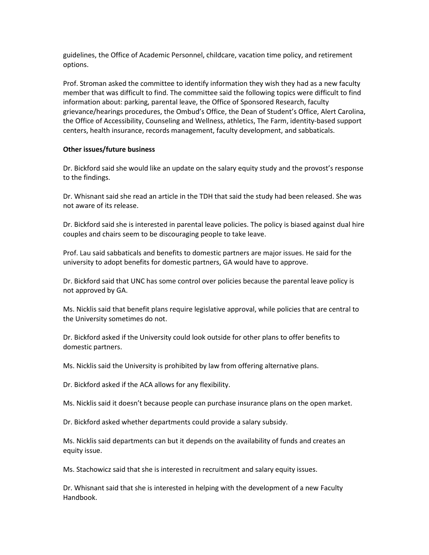guidelines, the Office of Academic Personnel, childcare, vacation time policy, and retirement options.

Prof. Stroman asked the committee to identify information they wish they had as a new faculty member that was difficult to find. The committee said the following topics were difficult to find information about: parking, parental leave, the Office of Sponsored Research, faculty grievance/hearings procedures, the Ombud's Office, the Dean of Student's Office, Alert Carolina, the Office of Accessibility, Counseling and Wellness, athletics, The Farm, identity-based support centers, health insurance, records management, faculty development, and sabbaticals.

# **Other issues/future business**

Dr. Bickford said she would like an update on the salary equity study and the provost's response to the findings.

Dr. Whisnant said she read an article in the TDH that said the study had been released. She was not aware of its release.

Dr. Bickford said she is interested in parental leave policies. The policy is biased against dual hire couples and chairs seem to be discouraging people to take leave.

Prof. Lau said sabbaticals and benefits to domestic partners are major issues. He said for the university to adopt benefits for domestic partners, GA would have to approve.

Dr. Bickford said that UNC has some control over policies because the parental leave policy is not approved by GA.

Ms. Nicklis said that benefit plans require legislative approval, while policies that are central to the University sometimes do not.

Dr. Bickford asked if the University could look outside for other plans to offer benefits to domestic partners.

Ms. Nicklis said the University is prohibited by law from offering alternative plans.

Dr. Bickford asked if the ACA allows for any flexibility.

Ms. Nicklis said it doesn't because people can purchase insurance plans on the open market.

Dr. Bickford asked whether departments could provide a salary subsidy.

Ms. Nicklis said departments can but it depends on the availability of funds and creates an equity issue.

Ms. Stachowicz said that she is interested in recruitment and salary equity issues.

Dr. Whisnant said that she is interested in helping with the development of a new Faculty Handbook.